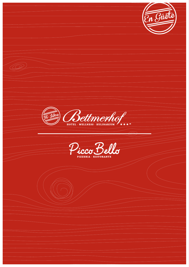En Güete ' (Q Bettmerho \*\*\*\*\* icco Bel  $\boldsymbol{\mathcal{C}}$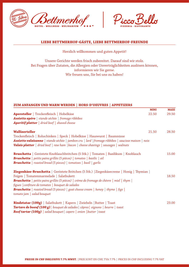



# **LIEBE BETTMERHOF-GÄSTE, LIEBE BETTMERHOF-FREUNDE**

Herzlich willkommen und guten Appetit!

Unsere Gerichte werden frisch zubereitet. Darauf sind wir stolz. Bei Fragen über Zutaten, die Allergien oder Unverträglichkeiten auslösen können, informieren wir Sie gerne. Wir freuen uns, Sie bei uns zu haben!

**ZUM ANFANGEN UND WARM WERDEN | HORS-D'OEUVRES | APPETIZERS**

| <u>Um hnihnjun und mhilli muldur   hullu d'udvillu   hi i di idullu</u>                                  |             |             |
|----------------------------------------------------------------------------------------------------------|-------------|-------------|
|                                                                                                          | <b>MINI</b> | <b>MAXI</b> |
| Aperoteller   Trockenfleisch   Hobelkäse                                                                 | 22.50       | 29.50       |
| <b>Assiette apéro</b>   viande séchée   fromage ribbibes                                                 |             |             |
| <b>Aperitif platter</b>   dried beef   shaved cheese                                                     |             |             |
| Walliserteller                                                                                           | 21.50       | 28.50       |
| Trockenfleisch   Rohschinken   Speck   Hobelkäse   Hauswurst   Baumnüsse                                 |             |             |
| <b>Assiette valaisanne</b> viande séchée   jambon cru   lard   fromage ribbibes   saucisse maison   noix |             |             |
| <b>Valais platter</b>   dried beef   raw ham   bacon   cheese shavings   sausages   walnuts              |             |             |
|                                                                                                          |             |             |
| <b>Bruschetta</b>   Geröstete Knoblauchbrötchen (5 Stk.)   Tomaten   Basilikum   Knoblauch               |             | 15.00       |
| <b>Bruschetta</b>   petits pains grillés (5 pièces)   tomates   basilic   ail                            |             |             |
| <b>Bruschetta</b>   roasted bread (5 pieces)   tomatoes   basil   garlic                                 |             |             |
|                                                                                                          |             |             |
| Ziegenkäse-Bruschetta   Geröstete Brötchen (5 Stk.)   Ziegenkäsecreme   Honig   Thymian                  |             |             |
| Feigen   Tomatenmarmelade   Salatbukett                                                                  |             | 18.50       |
| <b>Bruschetta</b>   petits pains grillés (5 pièces)   crème de fromage de chèvre   miel   thym           |             |             |
| figues   confiture de tomates   bouquet de salades                                                       |             |             |
| <b>Bruschetta</b>   roasted bread (5 pieces)   goat cheese cream   honey   thyme   figs                  |             |             |
| $tomato$ jam $ $ salad bouquet                                                                           |             |             |
|                                                                                                          |             |             |
| <b>Rindstatar (100g)</b>   Salatbukett   Kapern   Zwiebeln   Butter   Toast                              |             | 23.00       |
| <b>Tartare de boeuf (100 g)</b>   bouquet de salades   câpres   oignons   beurre   toast                 |             |             |
| <b>Beef tartar (100g)</b>   salad bouquet   capers   onion   butter   toast                              |             |             |
|                                                                                                          |             |             |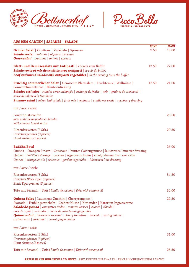



# **AUS DEM GARTEN | SALADES | SALADS**

| <b>Grüner Salat</b>   Croûtons   Zwiebeln   Sprossen<br><b>Salade verte</b>   croûtons   oignons   pousses<br><b>Green salad</b>   croutons   onions   sprouts                                                                                                                                                                                                                                                                         | <b>MINI</b><br>9.50 | <b>MAXI</b><br>15.00 |
|----------------------------------------------------------------------------------------------------------------------------------------------------------------------------------------------------------------------------------------------------------------------------------------------------------------------------------------------------------------------------------------------------------------------------------------|---------------------|----------------------|
| Blatt- und Gemüsesalate mit Antipasti   abends vom Büffet<br>Salade verte et mix de crudités avec antipasti   le soir du buffet<br>Leaf and mixed salads with antipasti vegetables   in the evening from the buffet                                                                                                                                                                                                                    | 13.50               | 22.00                |
| Fruchtig sommerlicher Salat   Gemischte Blattsalate   Früchtemix   Wallnüsse  <br>Sonnenblumenkerne   Himbeerdressing<br><b>Salades estivales</b>   salades verte mélangée   mélange de fruits   noix   graines de tournesol  <br>sauce de salade à la framboise<br><b>Summer salad</b>   mixed leaf salads   fruit mix   walnuts   sunflower seeds   raspberry dressing                                                               | 12.50               | 21.00                |
| mit / avec / with:                                                                                                                                                                                                                                                                                                                                                                                                                     |                     |                      |
| Pouletbruststreifen<br>avec poitrine de poulet en bandes<br>with chicken breast strips                                                                                                                                                                                                                                                                                                                                                 |                     | 26.50                |
| Riesenkrevetten (3 Stk.)<br>Crevettes géantes (3 pièces)<br>Giant shrimps (3 pieces)                                                                                                                                                                                                                                                                                                                                                   |                     | 29.50                |
| <b>Buddha Bowl</b><br>Quinoa   Orangen Linsen   Couscous   buntes Gartengemüse   lauwarmes Limettendressing<br>Quinoa   lentilles à l'orange   coucous   légumes du jardin   vinaigrette au citron vert tiède<br>Quinoa   orange lentils   couscous   garden vegetables   lukewarm lime dressing                                                                                                                                       |                     | 26.00                |
| mit / avec / with:                                                                                                                                                                                                                                                                                                                                                                                                                     |                     |                      |
| Riesenkrevetten (3 Stk.)<br>Crevettes Black Tiger (3 pièces)<br><b>Black Tiger prawns (3 pieces)</b>                                                                                                                                                                                                                                                                                                                                   |                     | 34.50                |
| Tofu mit Sesamöl   Tofu à l'huile de sésame   Tofu with sesame oil                                                                                                                                                                                                                                                                                                                                                                     |                     | 32.00                |
| <b>Quinoa Salat</b>   Lauwarme Zucchini   Cherrytomaten<br>Avocado   Frühlingszwiebeln   Cashew Nüsse   Koriander   Karotten-Ingwercreme<br><b>Salade de quinoa</b>   courgettes tièdes   tomates cerises   avocat   ciboule  <br>noix de cajou   coriandre   crème de carottes au gingembre<br><b>Quinoa salad</b>   lukewarm zucchini   cherry tomatoes   avocado   spring onions  <br>cashew nuts   coriander   carrot ginger cream |                     | 22.50                |
| mit / avec / with:                                                                                                                                                                                                                                                                                                                                                                                                                     |                     |                      |
| Riesenkrevetten (3 Stk.)<br>Crevettes géantes (3 pièces)<br>Giant shrimps (3 pieces)                                                                                                                                                                                                                                                                                                                                                   |                     | 31.00                |
| Tofu mit Sesamöl   Tofu à l'huile de sésame   Tofu with sesame oil                                                                                                                                                                                                                                                                                                                                                                     |                     | 28.50                |

**PREISE IN CHF INKLUSIVE 7.7% MWST.** |PRIX SONT EN CHF, TVA 7.7% | PRICES IN CHF INCLUDING 7.7% VAT **PREISE IN CHF INKLUSIVE 7.7% MWST.** |PRIX SONT EN CHF, TVA 7.7% | PRICES IN CHF INCLUDING 7.7% VAT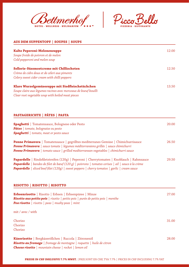



| <b>AUS DEM SUPPENTOPF   SOUPES   SOUPS</b>                      |       |
|-----------------------------------------------------------------|-------|
| <b>Kalte Peperoni-Melonensuppe</b>                              | 12.00 |
| Soupe froide de poivron et de melon                             |       |
| Cold pepperoni and melon soup                                   |       |
| Sellerie-Süssmostcreme mit Chillischoten                        | 12.50 |
| Crème de cidre doux et de céleri aux piments                    |       |
| Celery sweet cider cream with chilli peppers                    |       |
| Klare Wurzelgemüsesuppe mit Siedfleischstückchen                | 13.50 |
| Soupe claire aux légumes racines avec morceaux de boeuf bouilli |       |
| Clear root vegetable soup with boiled meat pieces               |       |

# **PASTAGERICHTE | PÂTES | PASTA**

| <b>Spaghetti</b>   Tomatensauce, Bolognese oder Pesto<br><b>Pâtes</b>   tomate, bolognaise ou pesto<br><b>Spaghetti</b>   tomato, meat or pesto sauce                                                                                                                                                          | 20.00 |
|----------------------------------------------------------------------------------------------------------------------------------------------------------------------------------------------------------------------------------------------------------------------------------------------------------------|-------|
| <b>Penne Primavera</b>   Tomatensauce   gegrilltes mediterranes Gemüse   Chimichurrisauce<br>Penne Primavera   sauce tomate   légumes méditerranéens grillés   sauce chimichurri<br><b>Penne Primavera</b>   tomato sauce   grilled mediterranean vegetables   chimichurri sauce                               | 26.50 |
| Papardelle   Rindsfiletstreifen (120g)   Peperoni   Cherrytomaten   Knoblauch   Rahmsauce<br><b>Papardelle</b>   bandes de filet de bœuf (120 g)   poivrons   tomates cerises   ail   sauce à la crème<br><b>Papardelle</b>   sliced beef filet (120g)   sweet peppers   cherry tomatos   garlic   cream sauce | 29.50 |

### **RISOTTO | RISOTTO | RISOTTO**

| <b>Erbsenrisotto</b>   Risotto   Erbsen   Erbsenpüree   Minze<br><b>Risotto aux petits pois</b>   risotto   petits pois   purée de petits pois   menthe<br><b>Pea risotto</b>   risotto   peas   mushy peas   mint | 27.00 |
|--------------------------------------------------------------------------------------------------------------------------------------------------------------------------------------------------------------------|-------|
| mit / avec / with                                                                                                                                                                                                  |       |
| Chorizo<br>Chorizo<br>Chorizo                                                                                                                                                                                      | 31.00 |
| Käserisotto   Bergkäseröllchen   Ruccola   Zitronenöl<br><b>Risotto au fromage</b>   fromage de montagne   roquette   huile de citron<br><b>Cheese risotto</b>   mountain cheese   rocket   lemon oil              | 28.00 |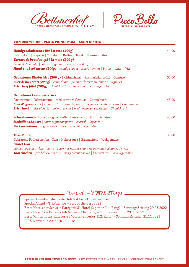



#### **VON DER WEIDE | PLATS PRINCIPAUX | MAIN DISHES**

| Handgeschnittenes Rindstatar (200g)<br>Salatbukett   Kapern   Zwiebeln   Butter   Toast   Pommes frites<br>Tartare de boeuf coupé à la main (200 g)<br>bouquet de salades   câpres   oignons   beurre   toast   frites<br><b>Hand-cut beef tartar (200g)</b>   salad bouquet   capers   onion   butter   toast   fries | 44.00 |
|------------------------------------------------------------------------------------------------------------------------------------------------------------------------------------------------------------------------------------------------------------------------------------------------------------------------|-------|
| Gebratenes Rinderfilet (200 g)   Chimichurri   Rosmarinkartoffel   Gemüse<br>Filet de bœuf roti (200 g) $ $ chimichurri $ $ pommes de terre au romarin $ $ légumes<br><b>Fried beef fillet (200 g)</b> $ $ chimichurri $ $ rosemary potatoes $ $ vegetables                                                            | 52.00 |
| Gebratenes Lammnierstück<br>Portweinjus   Polentacreme   mediterranes Gemüse   Chimichurri<br><b>Filet d'agneau rôti</b>   jus au Porto   crème de polenta   légumes méditerranéens   Chimichurri<br><b>Fried lamb</b>   juice of Porto   polenta cream   mediterranean vegetables   Chimichurri                       | 45.00 |
| <b>Schweinemedaillons</b>   Cognac Pfefferahmsauce   Spätzli   Gemüse<br>Medaillons de porc   sauce cognac au poivre   spaetzli   légumes<br><b>Pork medallions</b>   cognac pepper sauce   spaetzli   vegetables                                                                                                      | 43.00 |
| <b>Thai-Poulet</b><br>Gebratene Pouletstreifen   Curry-Kokossauce   Basmatireis   Wokgemüse<br><b>Poulet thai</b><br>bandes de poulet frites   sauce au curry et noix de coco   riz basmati   légumes de wok<br><b>Thai chicken</b>   fried chicken strips   curry coconut sauce   basmati rice   wok vegetables       | 35.00 |

awards-Hotebratings

Special Award – Beliebteste HolidayCheck Hotels weltweit Special Award – TripAdvisor – Best of the Best 2022 Beste Hotels der Schweiz Kategorie 3\*-Hotel-Superior (14. Rang) – SonntagsZeitung 29.05.2022 Beste Nice Price Ferienhotels Schweiz (34. Rang) – SonntagsZeitung, 29.05.2022 Beste Winterhotels Kategorie 3\*-Hotel-Superior (12. Rang) – SonntagsZeitung, 21.11.2021 PRIX Bienvenue 2015, 2017, 2018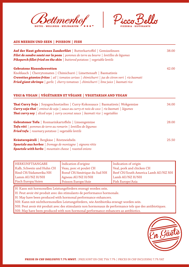



#### **AUS MEEREN UND SEEN | POISSON | FISH**

| Auf der Haut gebratenes Zanderfilet   Butterkartoffel   Gemüselinsen<br>Filet de sandre sauté sur la peau   pommes de terre au beurre   lentilles de légumes<br><b>Pikeperch fillet fried on the skin</b> $ $ buttered potatoes $ $ vegetable lentils | 38.00 |
|-------------------------------------------------------------------------------------------------------------------------------------------------------------------------------------------------------------------------------------------------------|-------|
| <b>Gebratene Riesenkrevetten</b>                                                                                                                                                                                                                      | 42.00 |
| Knoblauch   Cherrytomaten   Chimichurri   Limettensaft   Basmatireis                                                                                                                                                                                  |       |
| <b>Crevettes géantes frites</b> $ $ ail $ $ tomates cerises $ $ chimichurri $ $ jus de citron vert $ $ riz basmati                                                                                                                                    |       |
| <b>Fried giant shrimps</b>   garlic   cherry tomatoes   chimichurri   lime juice   basmati rice                                                                                                                                                       |       |

### **VEGI & VEGAN | VÉGÉTARIEN ET VÉGANE | VEGETARIAN AND VEGAN**

| <b>Thai Curry Soja</b>   Soyageschnetzeltes   Curry-Kokossauce   Basmatireis   Wokgemüse                                                                                                             | 34.00 |
|------------------------------------------------------------------------------------------------------------------------------------------------------------------------------------------------------|-------|
| <b>Curry soja thaï</b>   emincé de soja   sauce au curry et noix de coco   riz basmati   légumes                                                                                                     |       |
| <b>Thai curry soy</b>   sliced soya   curry coconut sauce   basmati rice   vegetables                                                                                                                |       |
| Gebratener Tofu   Rosmarinkartoffeln   Linsengemüse<br><b>Tofu rôti</b>   pommes de terre au romarin   lentilles de légumes<br><b>Fried tofu</b> $\vert$ rosemary potatoes $\vert$ vegetable lentils | 28.00 |
| Kräuterspätzli   Bergkäse   Röstzwiebeln                                                                                                                                                             | 25.50 |
| <b>Spaetzle aux herbes</b>   fromage de montagne   oignons rôtis                                                                                                                                     |       |
| <b>Spaetzle with herbs</b>   mountain cheese   roasted onions                                                                                                                                        |       |

| <b>HERKUNFTSANGABE</b>    | Indication d'origine        | Indication of origin                |
|---------------------------|-----------------------------|-------------------------------------|
| Kalb, Schwein und Huhn CH | Veau, porc et poulet CH     | Veal, pork and chicken CH           |
| Rind CH/Südamerika NH     | Boeuf CH/Amérique du Sud NH | Beef CH/South America Lamb AU/NZ NH |
| Lamm AU/NZ H/NH           | Agneau AU/NZ H/NH           | Lamb AU/NZ H/NH                     |
| <b>Fisch Europa/Asien</b> | Poisson Europe/Asie         | Fish Europe/Asia                    |

H: Kann mit hormonellen Leistungsfördern erzeugt worden sein.

H: Peut avoir été produit avec des stimulants de performance hormonale.

H: May have been produced with hormonal performance enhancers.

NH: Kann mit nichthormonellen Leistungsfördern, wie Antibiotika erzeugt worden sein.

NH: Peut avoir été produit avec des stimulants non hormonaux de performance tels que des antibiotiques.

NH: May have been produced with non-hormonal performance enhancers as antibiotics.

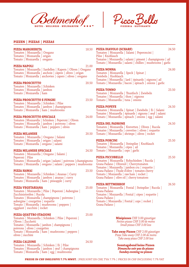



### **PIZZEN | PIZZAS | PIZZAS**

Tomato | Mozzarella | ham | egg | mushrooms

| <b>PIZZA MARGHERITA</b><br>Tomaten   Mozzarella   Oregano<br>Tomates   Mozzarella   origan<br>Tomato   Mozzarella   oregano                                                                                                                             | 18.50          | PIZZA DIAVOLO (SCHARF)<br>Tomaten   Mozzarella   Salami   Peperoncini  <br>Pilze   Knoblauch<br>Tomates   Mozzarella   salami   piment   champignons   ail<br>Tomato   Mozzarella   salami   chillies   mushrooms   garlic            | 24.50 |
|---------------------------------------------------------------------------------------------------------------------------------------------------------------------------------------------------------------------------------------------------------|----------------|---------------------------------------------------------------------------------------------------------------------------------------------------------------------------------------------------------------------------------------|-------|
| PIZZA NAPOLI<br>Tomaten   Mozzarella   Sardellen   Kapern   Oliven   Oregano<br>Tomates   Mozzarella   anchoix   câpres   olives   origan<br>Tomato   Mozzarella   anchovies   capers   olives   oregano<br><b>PIZZA PROSCIUTTO</b>                     | 21.00<br>20.50 | <b>PIZZA NONNA</b><br>Tomaten   Mozzarella   Speck   Spinat  <br>Zwiebeln   Knoblauch<br>Tomates   Mozzarella   lard   épinards   oignons   ail<br>Tomato   Mozzarella   bacon   spinach   onions   garlic                            | 24.00 |
| Tomaten   Mozzarella   Schinken<br>Tomates   Mozzarella   jambon<br>Tomato   Mozzarella   ham                                                                                                                                                           |                | <b>PIZZA TONNO</b><br>Tomaten   Mozzarella   Thunfisch   Zwiebeln<br>Tomates   Mozzarella   thon   oignons                                                                                                                            | 23.50 |
| PIZZA PROSCIUTTO E FUNGHI<br>Tomaten   Mozzarella   Schinken   Pilze<br>Tomates   Mozzarella   jambon   champignons<br>Tomato   Mozzarella   ham   mushrooms                                                                                            | 23.50          | Tomato   Mozzarella   tuna   onions<br><b>PIZZA POPEYE</b><br>Tomaten   Mozzarella   Spinat   Zwiebeln   Ei   Salami<br>Tomates   Mozzarella   épinards   oignons   œuf   salami                                                      | 24.50 |
| <b>PIZZA PROSCIUTTO SPECIALE</b><br>Tomaten  Mozzarella   Schinken   Peperoni   Oliven<br>Tomates   Mozzarella   jambon   poivrons   olives<br>Tomato   Mozzarella   ham   peppers   olives                                                             | 24.00          | Tomato   Mozzarella   spinach   onions   egg   salami<br><b>PIZZA DEL PADRONE</b><br>Tomaten   Mozzarella   Krevetten   Oliven   Rucola<br>Tomates   Mozzarella   crevettes   olives   roquette                                       | 24.50 |
| <b>PIZZA MILANESE</b><br>Tomaten   Mozzarella   Oregano   Salami<br>Tomates   Mozzarella   origan   salami<br>Tomato   Mozzarella   oregano   salami                                                                                                    | 20.50          | Tomato   Mozzarella   shrimps   olives   rocket<br><b>PIZZA PORCINI</b><br>Tomaten   Mozzarella   Steinpilze   Knoblauch                                                                                                              | 25.50 |
| <b>PIZZA MILANESE SPECIALE</b><br>Tomaten   Mozzarella   Oregano   Salami  <br>Peperoni   Pilze                                                                                                                                                         | 24.50          | Tomates   Mozzarella   cèpes   ail<br>Tomato   Mozzarella   ceps   garlic<br><b>PIZZA PICCOBELLO</b>                                                                                                                                  | 25.50 |
| Tomates   Mozzarella   origan   salami   poivrons   champignons<br>Tomato   Mozzarella   oregano   salami   peppers   mushrooms<br>PIZZA HAWAI<br>Tomaten   Mozzarella   Schinken   Ananas   Curry                                                      | 23.50          | Tomaten   Mozzarella   Rohschinken   Rucola  <br>Grana Padano   Olivenöl   Cherrytomaten<br>Tomates   Mozzarella   jambon cru   roquette<br>Grana Padano   l'huile d'olive   tomates cherry<br>Tomato   Mozzarella   raw ham   rocket |       |
| Tomates   Mozzarella   jambon   ananas   curry<br>Tomato   Mozzarella   ham   pineapple   curry<br>PIZZA VEGETARIANA                                                                                                                                    |                | Grana Padano   olive oil   cherry tomatoes<br><b>PIZZA BETTMERHOF</b><br>25.00 Tomaten   Mozzarella   Fontal   Steinpilze   Rucola                                                                                                    | 26.50 |
| Tomaten   Mozzarella   Pilze   Peperoni   Aubergine  <br>Zucchinistreifen   Rucola<br>Tomates   Mozzarella   champignons   poivrons  <br>aubergine   courgettes   roquette<br>Tomato   Mozzarella   mushrooms   peppers<br>eggplant   zucchini   rocket |                | Grana Padano<br>Tomates   Mozzarella   Fontal   cèpes   roquette  <br>Grana Padano<br>Tomato   Mozzarella   Fontal   ceps   rocket  <br>Grana Padano                                                                                  |       |
| PIZZA QUATTRO STAGIONI<br>Tomaten   Mozzarella   Schinken   Pilze   Peperoni  <br>Oliven   Zucchetti<br>Tomates   Mozzarella   jambon   champignons  <br>poivrons   olives   courgettes                                                                 | 25.00          | Minipizzen CHF 3.00 günstiger<br>Petites pizzas CHF 3.00 de moins<br>Small pizzas CHF 3.00 less                                                                                                                                       |       |
| Tomato   Mozzarella   ham   mushrooms   peppers  <br>olives   zucchini                                                                                                                                                                                  |                | Take away Pizzen CHF 2.00 günstiger<br>Pizza Take away CHF 2.00 de moins<br>Take away pizza CHF 2.00 less                                                                                                                             |       |
| PIZZA CALZONE<br>Tomaten   Mozzarella   Schinken   Ei   Pilze<br>Tomates   Mozzarella   jambon   œuf   champignons                                                                                                                                      | 24.50          | <b>Sonntagabend keine Pizzen</b><br>Dimanche soir pas de pizzas                                                                                                                                                                       |       |

**PREISE IN CHF INKLUSIVE 7.7% MWST.** |PRIX SONT EN CHF, TVA 7.7% | PRICES IN CHF INCLUDING 7.7% VAT **PREISE IN CHF INKLUSIVE 7.7% MWST.** |PRIX SONT EN CHF, TVA 7.7% | PRICES IN CHF INCLUDING 7.7% VAT

*Sunday evening no pizzas*